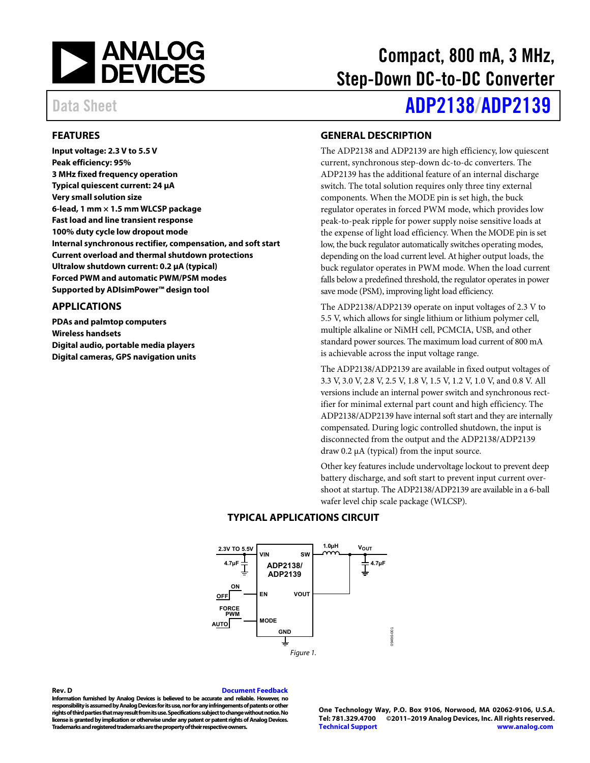

#### <span id="page-0-0"></span>**FEATURES**

**Input voltage: 2.3 V to 5.5 V Peak efficiency: 95% 3 MHz fixed frequency operation Typical quiescent current: 24 μA Very small solution size 6-lead, 1 mm × 1.5 mm WLCSP package Fast load and line transient response 100% duty cycle low dropout mode Internal synchronous rectifier, compensation, and soft start Current overload and thermal shutdown protections Ultralow shutdown current: 0.2 μA (typical) Forced PWM and automatic PWM/PSM modes Supported by ADIsimPower™ design tool** 

#### <span id="page-0-1"></span>**APPLICATIONS**

**PDAs and palmtop computers Wireless handsets Digital audio, portable media players Digital cameras, GPS navigation units** 

### Compact, 800 mA, 3 MHz, Step-Down DC-to-DC Converter

## Data Sheet **[ADP2138](https://www.analog.com/ADP2138?doc=ADP2138_2139.pdf)[/ADP2139](https://www.analog.com/ADP2139?doc=ADP2138_2139.pdf)**

#### <span id="page-0-2"></span>**GENERAL DESCRIPTION**

The ADP2138 and ADP2139 are high efficiency, low quiescent current, synchronous step-down dc-to-dc converters. The ADP2139 has the additional feature of an internal discharge switch. The total solution requires only three tiny external components. When the MODE pin is set high, the buck regulator operates in forced PWM mode, which provides low peak-to-peak ripple for power supply noise sensitive loads at the expense of light load efficiency. When the MODE pin is set low, the buck regulator automatically switches operating modes, depending on the load current level. At higher output loads, the buck regulator operates in PWM mode. When the load current falls below a predefined threshold, the regulator operates in power save mode (PSM), improving light load efficiency.

The ADP2138/ADP2139 operate on input voltages of 2.3 V to 5.5 V, which allows for single lithium or lithium polymer cell, multiple alkaline or NiMH cell, PCMCIA, USB, and other standard power sources. The maximum load current of 800 mA is achievable across the input voltage range.

The ADP2138/ADP2139 are available in fixed output voltages of 3.3 V, 3.0 V, 2.8 V, 2.5 V, 1.8 V, 1.5 V, 1.2 V, 1.0 V, and 0.8 V. All versions include an internal power switch and synchronous rectifier for minimal external part count and high efficiency. The ADP2138/ADP2139 have internal soft start and they are internally compensated. During logic controlled shutdown, the input is disconnected from the output and the ADP2138/ADP2139 draw 0.2 μA (typical) from the input source.

Other key features include undervoltage lockout to prevent deep battery discharge, and soft start to prevent input current overshoot at startup. The ADP2138/ADP2139 are available in a 6-ball wafer level chip scale package (WLCSP).

<span id="page-0-3"></span>

#### **TYPICAL APPLICATIONS CIRCUIT**

<span id="page-0-4"></span>**Rev. D [Document Feedback](https://form.analog.com/Form_Pages/feedback/documentfeedback.aspx?doc=ADP2138_2139.pdf&product=ADP2138%20ADP2139&rev=D)** 

**Information furnished by Analog Devices is believed to be accurate and reliable. However, no responsibility is assumed by Analog Devices for its use, nor for any infringements of patents or other rights of third parties that may result from its use. Specifications subject to change without notice. No license is granted by implication or otherwise under any patent or patent rights of Analog Devices. Trademarks and registered trademarks are the property of their respective owners.** 

**One Technology Way, P.O. Box 9106, Norwood, MA 02062-9106, U.S.A. Tel: 781.329.4700 ©2011–2019 Analog Devices, Inc. All rights reserved. [Technical Support](http://www.analog.com/en/content/technical_support_page/fca.html) [www.analog.com](http://www.analog.com/)**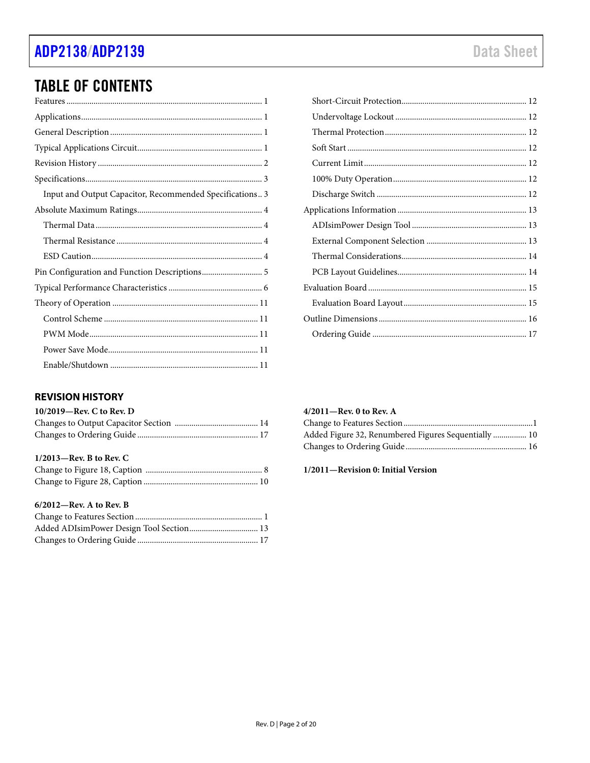### ADP2138/ADP2139

### **TABLE OF CONTENTS**

| Input and Output Capacitor, Recommended Specifications 3 |
|----------------------------------------------------------|
|                                                          |
|                                                          |
|                                                          |
|                                                          |
|                                                          |
|                                                          |
|                                                          |
|                                                          |
|                                                          |
|                                                          |
|                                                          |

### <span id="page-1-0"></span>**REVISION HISTORY**

| 10/2019-Rev. C to Rev. D |  |
|--------------------------|--|
|                          |  |
|                          |  |

#### 1/2013-Rev. B to Rev. C

#### $6/2012$ –Rev. A to Rev. B

| Added ADIsimPower Design Tool Section 13 |  |
|------------------------------------------|--|
|                                          |  |

#### $4/2011 -$ Rev. 0 to Rev. A

| Added Figure 32, Renumbered Figures Sequentially  10 |  |
|------------------------------------------------------|--|
|                                                      |  |

#### 1/2011-Revision 0: Initial Version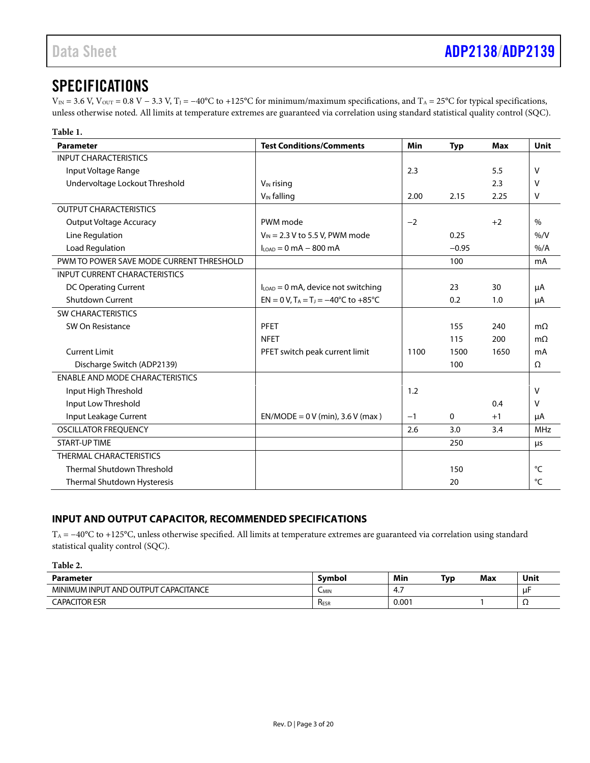### <span id="page-2-0"></span>SPECIFICATIONS

 $V_{\text{IN}} = 3.6$  V,  $V_{\text{OUT}} = 0.8$  V – 3.3 V, T<sub>J</sub> = -40°C to +125°C for minimum/maximum specifications, and T<sub>A</sub> = 25°C for typical specifications, unless otherwise noted. All limits at temperature extremes are guaranteed via correlation using standard statistical quality control (SQC).

| Table 1.                                 |                                                        |      |            |      |               |
|------------------------------------------|--------------------------------------------------------|------|------------|------|---------------|
| Parameter                                | <b>Test Conditions/Comments</b>                        | Min  | <b>Typ</b> | Max  | Unit          |
| <b>INPUT CHARACTERISTICS</b>             |                                                        |      |            |      |               |
| Input Voltage Range                      |                                                        | 2.3  |            | 5.5  | V             |
| Undervoltage Lockout Threshold           | $V_{IN}$ rising                                        |      |            | 2.3  | V             |
|                                          | $V_{IN}$ falling                                       | 2.00 | 2.15       | 2.25 | $\vee$        |
| <b>OUTPUT CHARACTERISTICS</b>            |                                                        |      |            |      |               |
| <b>Output Voltage Accuracy</b>           | PWM mode                                               | $-2$ |            | $+2$ | $\frac{0}{0}$ |
| Line Regulation                          | $V_{\text{IN}}$ = 2.3 V to 5.5 V, PWM mode             |      | 0.25       |      | % / V         |
| Load Regulation                          | $I_{\text{LOAD}} = 0$ mA $-$ 800 mA                    |      | $-0.95$    |      | $%$ /A        |
| PWM TO POWER SAVE MODE CURRENT THRESHOLD |                                                        |      | 100        |      | mA            |
| <b>INPUT CURRENT CHARACTERISTICS</b>     |                                                        |      |            |      |               |
| <b>DC Operating Current</b>              | $I_{\text{LOAD}} = 0$ mA, device not switching         |      | 23         | 30   | μA            |
| <b>Shutdown Current</b>                  | EN = 0 V, $T_A = T_J = -40^{\circ}C$ to $+85^{\circ}C$ |      | 0.2        | 1.0  | μA            |
| <b>SW CHARACTERISTICS</b>                |                                                        |      |            |      |               |
| SW On Resistance                         | PFET                                                   |      | 155        | 240  | $m\Omega$     |
|                                          | <b>NFET</b>                                            |      | 115        | 200  | $m\Omega$     |
| <b>Current Limit</b>                     | PFET switch peak current limit                         | 1100 | 1500       | 1650 | mA            |
| Discharge Switch (ADP2139)               |                                                        |      | 100        |      | Ω             |
| <b>ENABLE AND MODE CHARACTERISTICS</b>   |                                                        |      |            |      |               |
| Input High Threshold                     |                                                        | 1.2  |            |      | v             |
| Input Low Threshold                      |                                                        |      |            | 0.4  | v             |
| Input Leakage Current                    | $EN/MODE = 0 V (min)$ , 3.6 V (max)                    | $-1$ | 0          | $+1$ | μA            |
| <b>OSCILLATOR FREQUENCY</b>              |                                                        | 2.6  | 3.0        | 3.4  | <b>MHz</b>    |
| <b>START-UP TIME</b>                     |                                                        |      | 250        |      | μs            |
| THERMAL CHARACTERISTICS                  |                                                        |      |            |      |               |
| <b>Thermal Shutdown Threshold</b>        |                                                        |      | 150        |      | °C            |
| Thermal Shutdown Hysteresis              |                                                        |      | 20         |      | °C            |

#### <span id="page-2-1"></span>**INPUT AND OUTPUT CAPACITOR, RECOMMENDED SPECIFICATIONS**

TA = −40°C to +125°C, unless otherwise specified. All limits at temperature extremes are guaranteed via correlation using standard statistical quality control (SQC).

| Table 2.                             |                  |       |     |     |      |
|--------------------------------------|------------------|-------|-----|-----|------|
| Parameter                            | <b>Symbol</b>    | Min   | Typ | Max | Unit |
| MINIMUM INPUT AND OUTPUT CAPACITANCE | ∪MIN             | -4.,  |     |     | uF   |
| <b>CAPACITOR ESR</b>                 | R <sub>ESR</sub> | 0.001 |     |     | 77   |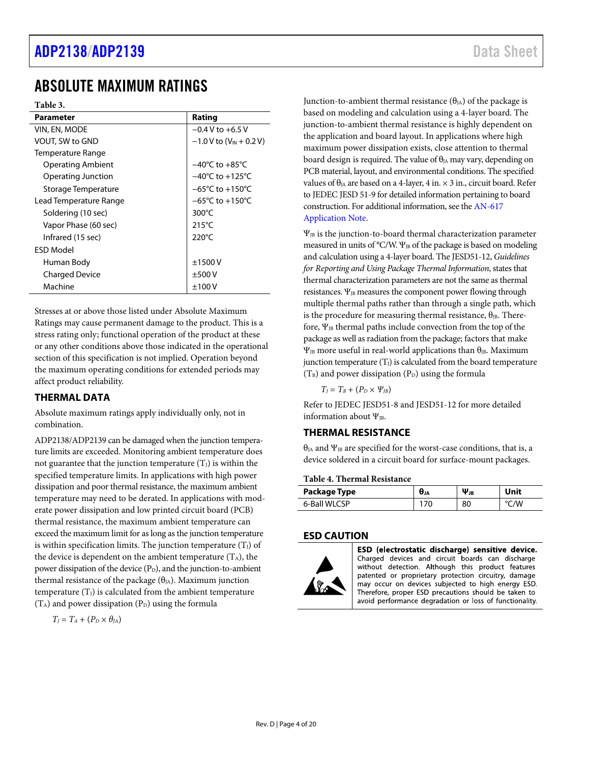### <span id="page-3-0"></span>ABSOLUTE MAXIMUM RATINGS

**Table 3.** 

| <b>Parameter</b>         | Rating                                |
|--------------------------|---------------------------------------|
| VIN, EN, MODE            | $-0.4 V$ to $+6.5 V$                  |
| <b>VOUT, SW to GND</b>   | $-1.0 V$ to (V <sub>IN</sub> + 0.2 V) |
| Temperature Range        |                                       |
| <b>Operating Ambient</b> | $-40^{\circ}$ C to $+85^{\circ}$ C    |
| Operating Junction       | $-40^{\circ}$ C to $+125^{\circ}$ C   |
| Storage Temperature      | $-65^{\circ}$ C to $+150^{\circ}$ C   |
| Lead Temperature Range   | $-65^{\circ}$ C to $+150^{\circ}$ C   |
| Soldering (10 sec)       | 300 $\degree$ C                       |
| Vapor Phase (60 sec)     | $215^{\circ}$ C                       |
| Infrared (15 sec)        | 220 $\degree$ C                       |
| FSD Model                |                                       |
| Human Body               | ±1500V                                |
| <b>Charged Device</b>    | ±500V                                 |
| Machine                  | $\pm 100$ V                           |

Stresses at or above those listed under Absolute Maximum Ratings may cause permanent damage to the product. This is a stress rating only; functional operation of the product at these or any other conditions above those indicated in the operational section of this specification is not implied. Operation beyond the maximum operating conditions for extended periods may affect product reliability.

#### <span id="page-3-1"></span>**THERMAL DATA**

Absolute maximum ratings apply individually only, not in combination.

ADP2138/ADP2139 can be damaged when the junction temperature limits are exceeded. Monitoring ambient temperature does not guarantee that the junction temperature  $(T_J)$  is within the specified temperature limits. In applications with high power dissipation and poor thermal resistance, the maximum ambient temperature may need to be derated. In applications with moderate power dissipation and low printed circuit board (PCB) thermal resistance, the maximum ambient temperature can exceed the maximum limit for as long as the junction temperature is within specification limits. The junction temperature  $(T_J)$  of the device is dependent on the ambient temperature  $(T_A)$ , the power dissipation of the device  $(P_D)$ , and the junction-to-ambient thermal resistance of the package  $(\theta_{JA})$ . Maximum junction temperature  $(T_J)$  is calculated from the ambient temperature  $(T_A)$  and power dissipation  $(P_D)$  using the formula

$$
T_J = T_A + (P_D \times \theta_{JA})
$$

Junction-to-ambient thermal resistance  $(\theta_{JA})$  of the package is based on modeling and calculation using a 4-layer board. The junction-to-ambient thermal resistance is highly dependent on the application and board layout. In applications where high maximum power dissipation exists, close attention to thermal board design is required. The value of  $\theta_{JA}$  may vary, depending on PCB material, layout, and environmental conditions. The specified values of  $\theta_{IA}$  are based on a 4-layer, 4 in.  $\times$  3 in., circuit board. Refer to JEDEC JESD 51-9 for detailed information pertaining to board construction. For additional information, see th[e AN-617](https://www.analog.com/media/en/technical-documentation/application-notes/AN-617.pdf?doc=ADP2138_2139.pdf)  [Application Note.](https://www.analog.com/media/en/technical-documentation/application-notes/AN-617.pdf?doc=ADP2138_2139.pdf) 

 $\Psi_{JB}$  is the junction-to-board thermal characterization parameter measured in units of °C/W.  $\Psi_{JB}$  of the package is based on modeling and calculation using a 4-layer board. The JESD51-12, *Guidelines for Reporting and Using Package Thermal Information*, states that thermal characterization parameters are not the same as thermal resistances.  $\Psi_{JB}$  measures the component power flowing through multiple thermal paths rather than through a single path, which is the procedure for measuring thermal resistance,  $\theta_{IB}$ . Therefore,  $\Psi_{\text{IB}}$  thermal paths include convection from the top of the package as well as radiation from the package; factors that make  $\Psi_{JB}$  more useful in real-world applications than θ<sub>JB</sub>. Maximum junction temperature  $(T<sub>I</sub>)$  is calculated from the board temperature  $(T_B)$  and power dissipation  $(P_D)$  using the formula

$$
T_J=T_B+(P_D\times\Psi_{JB})
$$

Refer to JEDEC JESD51-8 and JESD51-12 for more detailed information about  $\Psi_{IB}$ .

#### <span id="page-3-2"></span>**THERMAL RESISTANCE**

 $\theta_{JA}$  and  $\Psi_{JB}$  are specified for the worst-case conditions, that is, a device soldered in a circuit board for surface-mount packages.

#### **Table 4. Thermal Resistance**

| Package Type | <b>U</b> JA | $\Psi_{JB}$ |    |
|--------------|-------------|-------------|----|
| CD<br>6-Bal  |             | 80          | 'W |

#### <span id="page-3-3"></span>**ESD CAUTION**



ESD (electrostatic discharge) sensitive device. Charged devices and circuit boards can discharge without detection. Although this product features patented or proprietary protection circuitry, damage may occur on devices subjected to high energy ESD. Therefore, proper ESD precautions should be taken to avoid performance degradation or loss of functionality.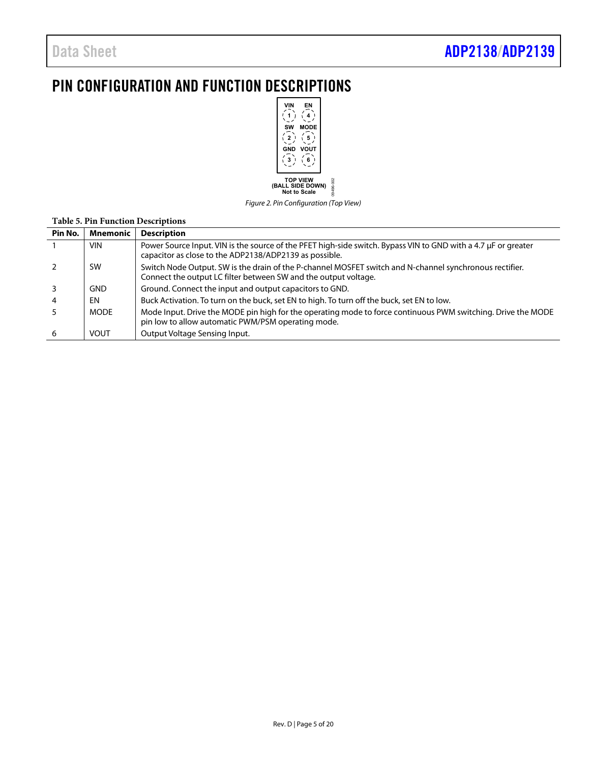### <span id="page-4-0"></span>PIN CONFIGURATION AND FUNCTION DESCRIPTIONS



Figure 2. Pin Configuration (Top View)

|         | <b>Table 5. Pin Function Descriptions</b> |                                                                                                                                                                            |  |  |  |  |
|---------|-------------------------------------------|----------------------------------------------------------------------------------------------------------------------------------------------------------------------------|--|--|--|--|
| Pin No. | Mnemonic                                  | <b>Description</b>                                                                                                                                                         |  |  |  |  |
|         | <b>VIN</b>                                | Power Source Input. VIN is the source of the PFET high-side switch. Bypass VIN to GND with a 4.7 µF or greater<br>capacitor as close to the ADP2138/ADP2139 as possible.   |  |  |  |  |
|         | <b>SW</b>                                 | Switch Node Output. SW is the drain of the P-channel MOSFET switch and N-channel synchronous rectifier.<br>Connect the output LC filter between SW and the output voltage. |  |  |  |  |
|         | <b>GND</b>                                | Ground. Connect the input and output capacitors to GND.                                                                                                                    |  |  |  |  |
|         | EN                                        | Buck Activation. To turn on the buck, set EN to high. To turn off the buck, set EN to low.                                                                                 |  |  |  |  |
|         | <b>MODE</b>                               | Mode Input. Drive the MODE pin high for the operating mode to force continuous PWM switching. Drive the MODE<br>pin low to allow automatic PWM/PSM operating mode.         |  |  |  |  |
| 6       | <b>VOUT</b>                               | Output Voltage Sensing Input.                                                                                                                                              |  |  |  |  |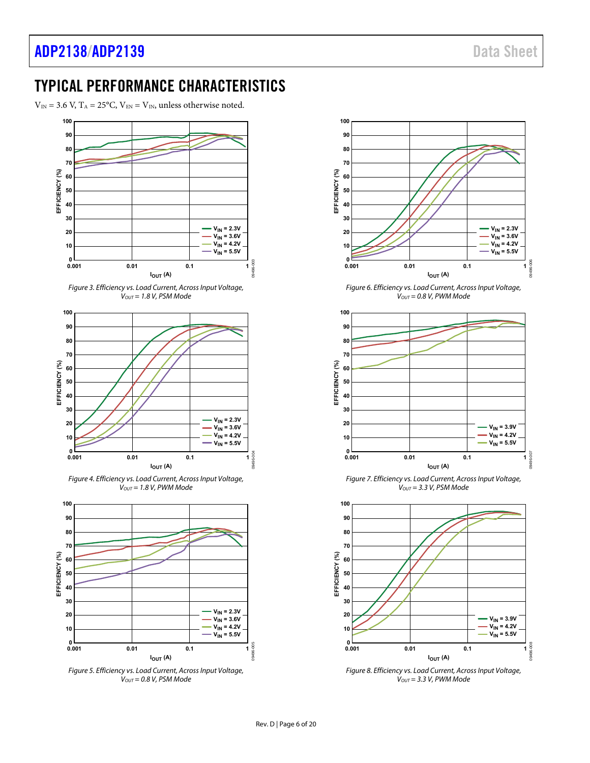### <span id="page-5-0"></span>TYPICAL PERFORMANCE CHARACTERISTICS

 $V_{IN}$  = 3.6 V, T<sub>A</sub> = 25°C, V<sub>EN</sub> = V<sub>IN</sub>, unless otherwise noted.







Figure 4. Efficiency vs. Load Current, Across Input Voltage,  $V<sub>OUT</sub> = 1.8 V, PWM Mode$ 



Figure 5. Efficiency vs. Load Current, Across Input Voltage,  $V<sub>OUT</sub> = 0.8 V,$  PSM Mode



Figure 6. Efficiency vs. Load Current, Across Input Voltage,  $V_{OUT} = 0.8$  V, PWM Mode



Figure 7. Efficiency vs. Load Current, Across Input Voltage,  $V<sub>OUT</sub> = 3.3 V, PSM Mode$ 



Figure 8. Efficiency vs. Load Current, Across Input Voltage,  $V_{OUT} = 3.3 V$ , PWM Mode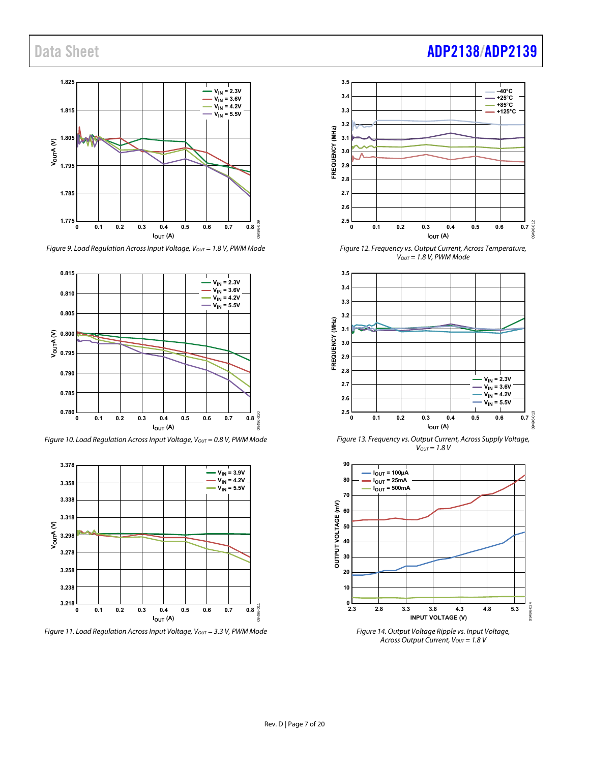

Figure 9. Load Regulation Across Input Voltage,  $V_{OUT} = 1.8$  V, PWM Mode



Figure 10. Load Regulation Across Input Voltage,  $V_{OUT} = 0.8$  V, PWM Mode



Figure 11. Load Regulation Across Input Voltage,  $V_{OUT} = 3.3$  V, PWM Mode

# Data Sheet **[ADP2138](https://www.analog.com/ADP2138?doc=ADP2138_2139.pdf)[/ADP2139](https://www.analog.com/ADP2139?doc=ADP2138_2139.pdf)**



Figure 12. Frequency vs. Output Current, Across Temperature,  $V_{OUT} = 1.8$  V, PWM Mode



Figure 13. Frequency vs. Output Current, Across Supply Voltage,  $V_{OUT} = 1.8 V$ 



Across Output Current,  $V_{OUT} = 1.8 V$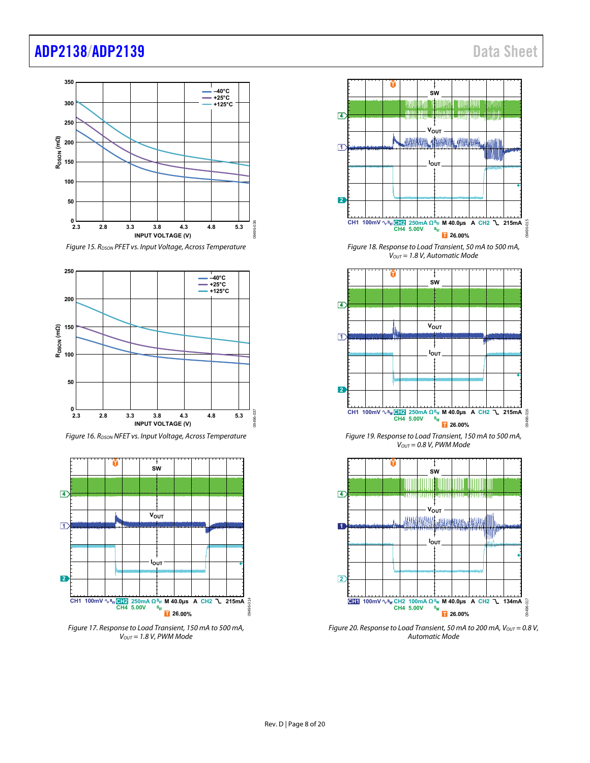### [ADP2138/](https://www.analog.com/ADP2138?doc=ADP2138_2139.pdf)[ADP2139](https://www.analog.com/ADP2139?doc=ADP2138_2139.pdf) Data Sheet



Figure 15. R<sub>DSON</sub> PFET vs. Input Voltage, Across Temperature



Figure 16. R<sub>DSON</sub> NFET vs. Input Voltage, Across Temperature



Figure 17. Response to Load Transient, 150 mA to 500 mA,  $V<sub>OUT</sub> = 1.8 V, PWM Mode$ 



Figure 18. Response to Load Transient, 50 mA to 500 mA,  $V_{OUT} = 1.8$  V, Automatic Mode



Figure 19. Response to Load Transient, 150 mA to 500 mA,  $V<sub>OUT</sub> = 0.8 V, PWM Mode$ 



Figure 20. Response to Load Transient, 50 mA to 200 mA,  $V_{OUT} = 0.8 V$ , Automatic Mode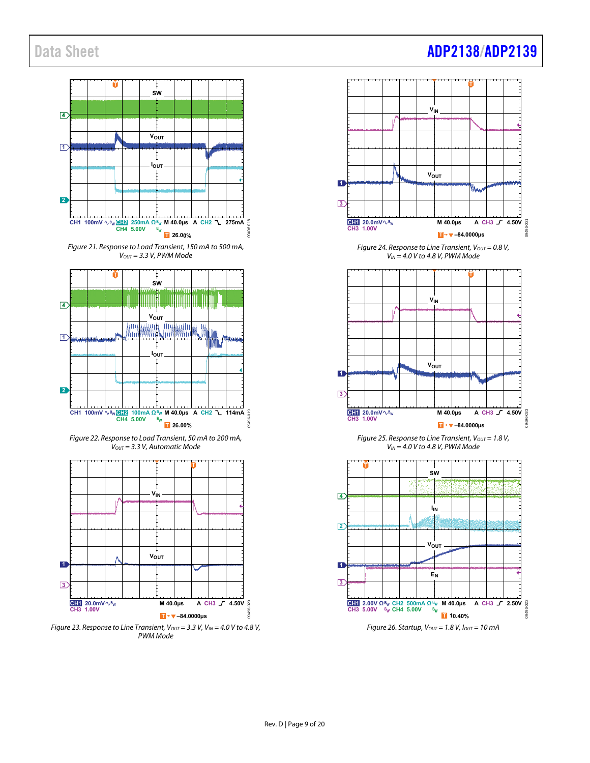#### **T SW 4**  $V_{OUT}$ **1**  $\mathbf{I}$ **I**<sub>OUT</sub> **2** 09496-018 **M 40.0µs A CH2 275mA CH1 100mV CH4 5.00V CH2 250mA Ω**  $\frac{2}{B_{\text{W}}}$  **T** 26.00% Figure 21. Response to Load Transient, 150 mA to 500 mA,  $V<sub>OUT</sub> = 3.3 V, PWM Mode$ **T SW** ITODO IIII Ш **4** ₩ **Vout**<br>MMMMM WW ША ₩₩ **1** MIN ł **I**OUT **2** 09496-019 **M 40.0µs A CH2 114mA CH1 100mV CH4 5.00V CH2 100mA Ω**  $\frac{B_{\text{W}}}{\text{I}}$  26.00% Figure 22. Response to Load Transient, 50 mA to 200 mA,  $V<sub>OUT</sub> = 3.3 V, Automatic Mode$ **T VIN**  $V_{OUT}$ **1 3 CH1 20.0mV M 40.0**µs **A CH3**  $\sqrt{ }$  4.50V  $20$ 09496-020 **CH3 1.00V**

Figure 23. Response to Line Transient,  $V_{OUT} = 3.3 V$ ,  $V_{IN} = 4.0 V$  to 4.8 V, PWM Mode

**T –84.0000µs**

### Data Sheet **[ADP2138](https://www.analog.com/ADP2138?doc=ADP2138_2139.pdf)[/ADP2139](https://www.analog.com/ADP2139?doc=ADP2138_2139.pdf)**







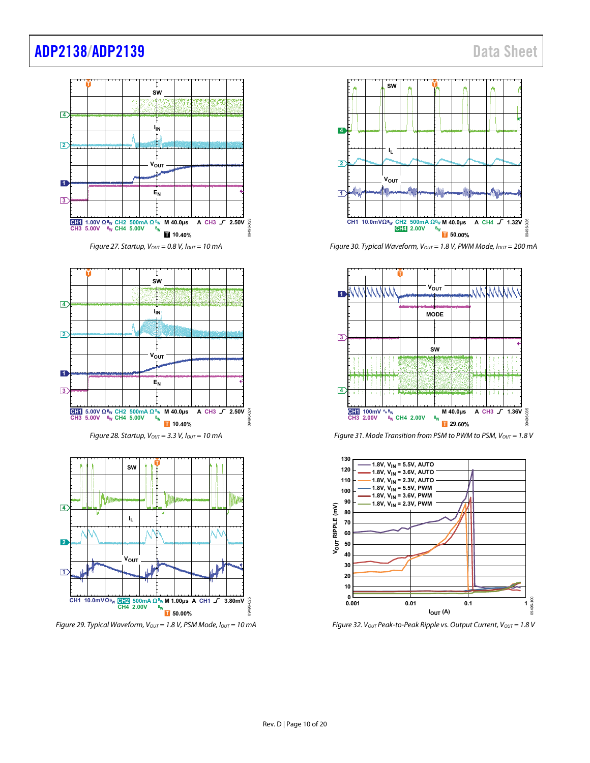### [ADP2138/](https://www.analog.com/ADP2138?doc=ADP2138_2139.pdf)[ADP2139](https://www.analog.com/ADP2139?doc=ADP2138_2139.pdf) Data Sheet









Figure 29. Typical Waveform,  $V_{OUT} = 1.8$  V, PSM Mode,  $I_{OUT} = 10$  mA



Figure 30. Typical Waveform,  $V_{OUT} = 1.8$  V, PWM Mode,  $I_{OUT} = 200$  mA



Figure 31. Mode Transition from PSM to PWM to PSM,  $V_{OUT} = 1.8 V$ 



Figure 32. Vout Peak-to-Peak Ripple vs. Output Current, Vout = 1.8 V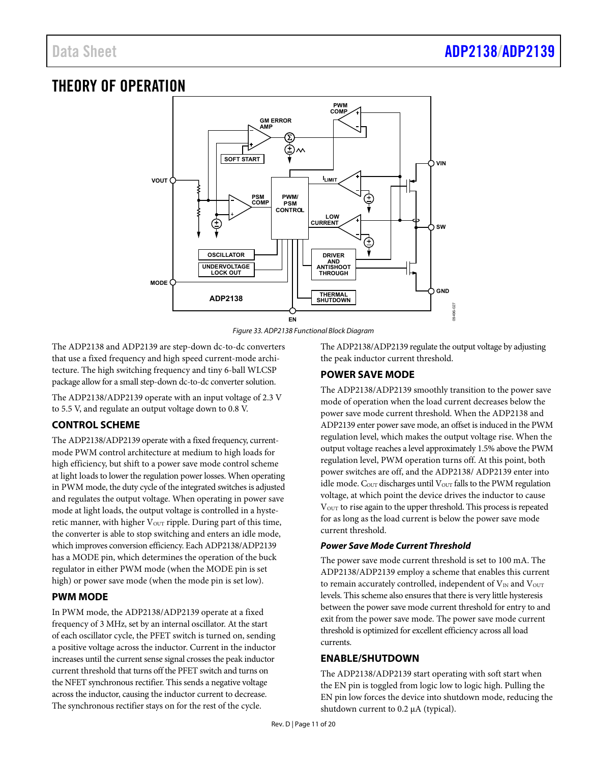### <span id="page-10-0"></span>THEORY OF OPERATION





The ADP2138 and ADP2139 are step-down dc-to-dc converters that use a fixed frequency and high speed current-mode architecture. The high switching frequency and tiny 6-ball WLCSP package allow for a small step-down dc-to-dc converter solution.

The ADP2138/ADP2139 operate with an input voltage of 2.3 V to 5.5 V, and regulate an output voltage down to 0.8 V.

#### <span id="page-10-1"></span>**CONTROL SCHEME**

The ADP2138/ADP2139 operate with a fixed frequency, currentmode PWM control architecture at medium to high loads for high efficiency, but shift to a power save mode control scheme at light loads to lower the regulation power losses. When operating in PWM mode, the duty cycle of the integrated switches is adjusted and regulates the output voltage. When operating in power save mode at light loads, the output voltage is controlled in a hysteretic manner, with higher  $V_{\text{OUT}}$  ripple. During part of this time, the converter is able to stop switching and enters an idle mode, which improves conversion efficiency. Each ADP2138/ADP2139 has a MODE pin, which determines the operation of the buck regulator in either PWM mode (when the MODE pin is set high) or power save mode (when the mode pin is set low).

#### <span id="page-10-2"></span>**PWM MODE**

In PWM mode, the ADP2138/ADP2139 operate at a fixed frequency of 3 MHz, set by an internal oscillator. At the start of each oscillator cycle, the PFET switch is turned on, sending a positive voltage across the inductor. Current in the inductor increases until the current sense signal crosses the peak inductor current threshold that turns off the PFET switch and turns on the NFET synchronous rectifier. This sends a negative voltage across the inductor, causing the inductor current to decrease. The synchronous rectifier stays on for the rest of the cycle.

The ADP2138/ADP2139 regulate the output voltage by adjusting the peak inductor current threshold.

#### <span id="page-10-3"></span>**POWER SAVE MODE**

The ADP2138/ADP2139 smoothly transition to the power save mode of operation when the load current decreases below the power save mode current threshold. When the ADP2138 and ADP2139 enter power save mode, an offset is induced in the PWM regulation level, which makes the output voltage rise. When the output voltage reaches a level approximately 1.5% above the PWM regulation level, PWM operation turns off. At this point, both power switches are off, and the ADP2138/ ADP2139 enter into idle mode.  $C_{\text{OUT}}$  discharges until  $V_{\text{OUT}}$  falls to the PWM regulation voltage, at which point the device drives the inductor to cause V<sub>OUT</sub> to rise again to the upper threshold. This process is repeated for as long as the load current is below the power save mode current threshold.

#### **Power Save Mode Current Threshold**

The power save mode current threshold is set to 100 mA. The ADP2138/ADP2139 employ a scheme that enables this current to remain accurately controlled, independent of  $V_{IN}$  and  $V_{OUT}$ levels. This scheme also ensures that there is very little hysteresis between the power save mode current threshold for entry to and exit from the power save mode. The power save mode current threshold is optimized for excellent efficiency across all load currents.

#### <span id="page-10-4"></span>**ENABLE/SHUTDOWN**

The ADP2138/ADP2139 start operating with soft start when the EN pin is toggled from logic low to logic high. Pulling the EN pin low forces the device into shutdown mode, reducing the shutdown current to 0.2 μA (typical).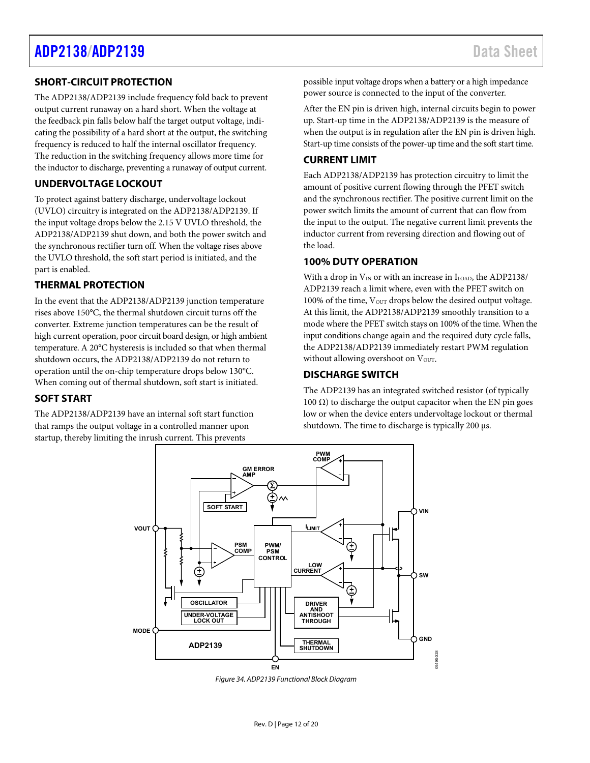#### <span id="page-11-0"></span>**SHORT-CIRCUIT PROTECTION**

The ADP2138/ADP2139 include frequency fold back to prevent output current runaway on a hard short. When the voltage at the feedback pin falls below half the target output voltage, indicating the possibility of a hard short at the output, the switching frequency is reduced to half the internal oscillator frequency. The reduction in the switching frequency allows more time for the inductor to discharge, preventing a runaway of output current.

#### <span id="page-11-1"></span>**UNDERVOLTAGE LOCKOUT**

To protect against battery discharge, undervoltage lockout (UVLO) circuitry is integrated on the ADP2138/ADP2139. If the input voltage drops below the 2.15 V UVLO threshold, the ADP2138/ADP2139 shut down, and both the power switch and the synchronous rectifier turn off. When the voltage rises above the UVLO threshold, the soft start period is initiated, and the part is enabled.

#### <span id="page-11-2"></span>**THERMAL PROTECTION**

In the event that the ADP2138/ADP2139 junction temperature rises above 150°C, the thermal shutdown circuit turns off the converter. Extreme junction temperatures can be the result of high current operation, poor circuit board design, or high ambient temperature. A 20°C hysteresis is included so that when thermal shutdown occurs, the ADP2138/ADP2139 do not return to operation until the on-chip temperature drops below 130°C. When coming out of thermal shutdown, soft start is initiated.

#### <span id="page-11-3"></span>**SOFT START**

The ADP2138/ADP2139 have an internal soft start function that ramps the output voltage in a controlled manner upon startup, thereby limiting the inrush current. This prevents

possible input voltage drops when a battery or a high impedance power source is connected to the input of the converter.

After the EN pin is driven high, internal circuits begin to power up. Start-up time in the ADP2138/ADP2139 is the measure of when the output is in regulation after the EN pin is driven high. Start-up time consists of the power-up time and the soft start time.

#### <span id="page-11-4"></span>**CURRENT LIMIT**

Each ADP2138/ADP2139 has protection circuitry to limit the amount of positive current flowing through the PFET switch and the synchronous rectifier. The positive current limit on the power switch limits the amount of current that can flow from the input to the output. The negative current limit prevents the inductor current from reversing direction and flowing out of the load.

#### <span id="page-11-5"></span>**100% DUTY OPERATION**

With a drop in  $V_{IN}$  or with an increase in  $I_{LOAD}$ , the ADP2138/ ADP2139 reach a limit where, even with the PFET switch on 100% of the time,  $V_{\text{OUT}}$  drops below the desired output voltage. At this limit, the ADP2138/ADP2139 smoothly transition to a mode where the PFET switch stays on 100% of the time. When the input conditions change again and the required duty cycle falls, the ADP2138/ADP2139 immediately restart PWM regulation without allowing overshoot on Vour.

#### <span id="page-11-6"></span>**DISCHARGE SWITCH**

The ADP2139 has an integrated switched resistor (of typically 100 Ω) to discharge the output capacitor when the EN pin goes low or when the device enters undervoltage lockout or thermal shutdown. The time to discharge is typically 200 μs.



Figure 34. ADP2139 Functional Block Diagram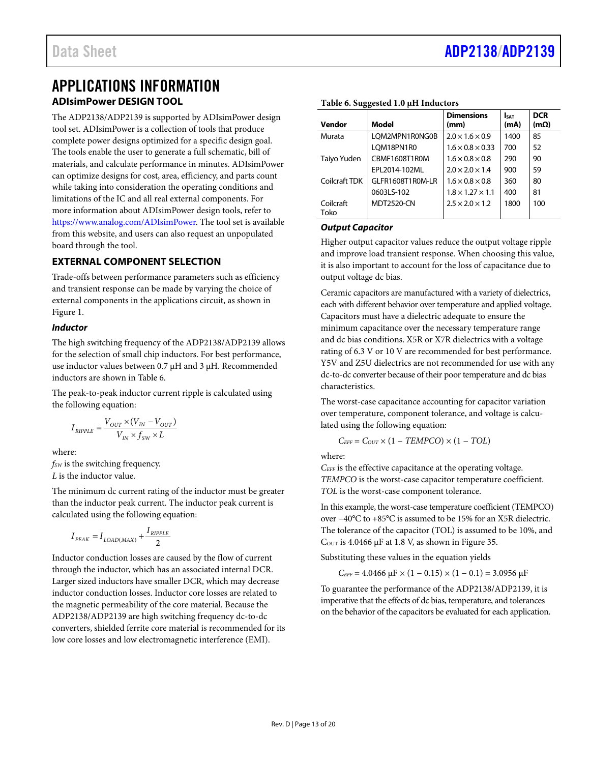### <span id="page-12-1"></span><span id="page-12-0"></span>APPLICATIONS INFORMATION **ADIsimPower DESIGN TOOL**

The ADP2138/ADP2139 is supported by ADIsimPower design tool set. ADIsimPower is a collection of tools that produce complete power designs optimized for a specific design goal. The tools enable the user to generate a full schematic, bill of materials, and calculate performance in minutes. ADIsimPower can optimize designs for cost, area, efficiency, and parts count while taking into consideration the operating conditions and limitations of the IC and all real external components. For more information about ADIsimPower design tools, refer to [https://www.analog.com/ADIsimPower.](https://www.analog.com/ADIsimPower?doc=ADP2138_2139.pdf) The tool set is available from this website, and users can also request an unpopulated board through the tool.

#### <span id="page-12-2"></span>**EXTERNAL COMPONENT SELECTION**

Trade-offs between performance parameters such as efficiency and transient response can be made by varying the choice of external components in the applications circuit, as shown in [Figure 1.](#page-0-4)

#### **Inductor**

The high switching frequency of the ADP2138/ADP2139 allows for the selection of small chip inductors. For best performance, use inductor values between 0.7 μH and 3 μH. Recommended inductors are shown in [Table 6.](#page-12-3)

The peak-to-peak inductor current ripple is calculated using the following equation:

$$
I_{RIPPLE} = \frac{V_{OUT} \times (V_{IN} - V_{OUT})}{V_{IN} \times f_{SW} \times L}
$$

where: *f<sub>SW</sub>* is the switching frequency. *L* is the inductor value.

The minimum dc current rating of the inductor must be greater than the inductor peak current. The inductor peak current is calculated using the following equation:

$$
I_{\textit{PEAK}} = I_{\textit{LOAD(MAX)}} + \frac{I_{\textit{RIPPLE}}}{2}
$$

Inductor conduction losses are caused by the flow of current through the inductor, which has an associated internal DCR. Larger sized inductors have smaller DCR, which may decrease inductor conduction losses. Inductor core losses are related to the magnetic permeability of the core material. Because the ADP2138/ADP2139 are high switching frequency dc-to-dc converters, shielded ferrite core material is recommended for its low core losses and low electromagnetic interference (EMI).

| Vendor            | Model             | <b>Dimensions</b><br>(mm)    | <b>SAT</b><br>(mA) | <b>DCR</b><br>$(m\Omega)$ |
|-------------------|-------------------|------------------------------|--------------------|---------------------------|
| Murata            | LQM2MPN1R0NG0B    | $2.0 \times 1.6 \times 0.9$  | 1400               | 85                        |
|                   | LOM18PN1R0        | $1.6 \times 0.8 \times 0.33$ | 700                | 52                        |
| Taiyo Yuden       | CBMF1608T1R0M     | $1.6 \times 0.8 \times 0.8$  | 290                | 90                        |
|                   | EPL2014-102ML     | $2.0 \times 2.0 \times 1.4$  | 900                | 59                        |
| Coilcraft TDK     | GLFR1608T1R0M-LR  | $1.6 \times 0.8 \times 0.8$  | 360                | 80                        |
|                   | 0603LS-102        | $1.8 \times 1.27 \times 1.1$ | 400                | 81                        |
| Coilcraft<br>Toko | <b>MDT2520-CN</b> | $2.5 \times 2.0 \times 1.2$  | 1800               | 100                       |

#### <span id="page-12-3"></span>**Table 6. Suggested 1.0 μH Inductors**

#### **Output Capacitor**

Higher output capacitor values reduce the output voltage ripple and improve load transient response. When choosing this value, it is also important to account for the loss of capacitance due to output voltage dc bias.

Ceramic capacitors are manufactured with a variety of dielectrics, each with different behavior over temperature and applied voltage. Capacitors must have a dielectric adequate to ensure the minimum capacitance over the necessary temperature range and dc bias conditions. X5R or X7R dielectrics with a voltage rating of 6.3 V or 10 V are recommended for best performance. Y5V and Z5U dielectrics are not recommended for use with any dc-to-dc converter because of their poor temperature and dc bias characteristics.

The worst-case capacitance accounting for capacitor variation over temperature, component tolerance, and voltage is calculated using the following equation:

$$
C_{EFF} = C_{OUT} \times (1 - TEMPCO) \times (1 - TOL)
$$

where:

*CEFF* is the effective capacitance at the operating voltage. *TEMPCO* is the worst-case capacitor temperature coefficient. *TOL* is the worst-case component tolerance.

In this example, the worst-case temperature coefficient (TEMPCO) over −40°C to +85°C is assumed to be 15% for an X5R dielectric. The tolerance of the capacitor (TOL) is assumed to be 10%, and  $C<sub>OUT</sub>$  is 4.0466 μF at 1.8 V, as shown in Figure 35.

Substituting these values in the equation yields

 $C_{EFF}$  = 4.0466  $\mu$ F × (1 – 0.15) × (1 – 0.1) = 3.0956  $\mu$ F

To guarantee the performance of the ADP2138/ADP2139, it is imperative that the effects of dc bias, temperature, and tolerances on the behavior of the capacitors be evaluated for each application.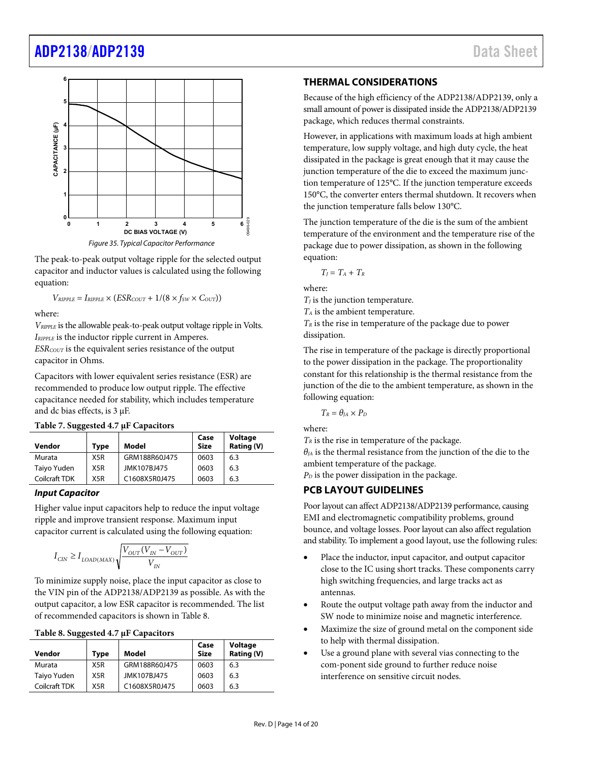### [ADP2138](https://www.analog.com/ADP2138?doc=ADP2138_2139.pdf)[/ADP2139](https://www.analog.com/ADP2139?doc=ADP2138_2139.pdf) Data Sheet



<span id="page-13-2"></span>The peak-to-peak output voltage ripple for the selected output capacitor and inductor values is calculated using the following

equation:

 $V_{RIPPLE} = I_{RIPPLE} \times (ESR_{COUT} + 1/(8 \times f_{SW} \times C_{OUT}))$ 

where:

*VRIPPLE* is the allowable peak-to-peak output voltage ripple in Volts. *IRIPPLE* is the inductor ripple current in Amperes. *ESRCOUT* is the equivalent series resistance of the output capacitor in Ohms.

Capacitors with lower equivalent series resistance (ESR) are recommended to produce low output ripple. The effective capacitance needed for stability, which includes temperature and dc bias effects, is 3 μF.

| Vendor        | <b>Type</b>      | Model         | Case<br><b>Size</b> | <b>Voltage</b><br>Rating (V) |
|---------------|------------------|---------------|---------------------|------------------------------|
| Murata        | X <sub>5</sub> R | GRM188R60J475 | 0603                | 6.3                          |
| Taiyo Yuden   | X5R              | JMK107BJ475   | 0603                | 6.3                          |
| Coilcraft TDK | X <sub>5</sub> R | C1608X5R0J475 | 0603                | 6.3                          |

#### **Input Capacitor**

Higher value input capacitors help to reduce the input voltage ripple and improve transient response. Maximum input capacitor current is calculated using the following equation:

$$
I_{CIN} \geq I_{LOAD(MAX)}\sqrt{\frac{V_{OUT}(V_{IN}-V_{OUT})}{V_{IN}}}
$$

To minimize supply noise, place the input capacitor as close to the VIN pin of the ADP2138/ADP2139 as possible. As with the output capacitor, a low ESR capacitor is recommended. The list of recommended capacitors is shown i[n Table 8.](#page-13-3) 

#### <span id="page-13-3"></span>**Table 8. Suggested 4.7 μF Capacitors**

| Vendor        | <b>Type</b>      | Model         | Case<br><b>Size</b> | <b>Voltage</b><br>Rating (V) |
|---------------|------------------|---------------|---------------------|------------------------------|
| Murata        | X <sub>5</sub> R | GRM188R60J475 | 0603                | 6.3                          |
| Taiyo Yuden   | X5R              | JMK107BJ475   | 0603                | 6.3                          |
| Coilcraft TDK | X <sub>5</sub> R | C1608X5R0J475 | 0603                | 6.3                          |

#### <span id="page-13-0"></span>**THERMAL CONSIDERATIONS**

Because of the high efficiency of the ADP2138/ADP2139, only a small amount of power is dissipated inside the ADP2138/ADP2139 package, which reduces thermal constraints.

However, in applications with maximum loads at high ambient temperature, low supply voltage, and high duty cycle, the heat dissipated in the package is great enough that it may cause the junction temperature of the die to exceed the maximum junction temperature of 125°C. If the junction temperature exceeds 150°C, the converter enters thermal shutdown. It recovers when the junction temperature falls below 130°C.

The junction temperature of the die is the sum of the ambient temperature of the environment and the temperature rise of the package due to power dissipation, as shown in the following equation:

 $T_I = T_A + T_R$ 

where:

 $T_I$  is the junction temperature.

*TA* is the ambient temperature.

*TR* is the rise in temperature of the package due to power dissipation.

The rise in temperature of the package is directly proportional to the power dissipation in the package. The proportionality constant for this relationship is the thermal resistance from the junction of the die to the ambient temperature, as shown in the following equation:

 $T_R = \theta_{JA} \times P_D$ 

where:

 $T_R$  is the rise in temperature of the package.

 $\theta_{IA}$  is the thermal resistance from the junction of the die to the ambient temperature of the package.

 $P<sub>D</sub>$  is the power dissipation in the package.

#### <span id="page-13-1"></span>**PCB LAYOUT GUIDELINES**

Poor layout can affect ADP2138/ADP2139 performance, causing EMI and electromagnetic compatibility problems, ground bounce, and voltage losses. Poor layout can also affect regulation and stability. To implement a good layout, use the following rules:

- Place the inductor, input capacitor, and output capacitor close to the IC using short tracks. These components carry high switching frequencies, and large tracks act as antennas.
- Route the output voltage path away from the inductor and SW node to minimize noise and magnetic interference.
- Maximize the size of ground metal on the component side to help with thermal dissipation.
- Use a ground plane with several vias connecting to the com-ponent side ground to further reduce noise interference on sensitive circuit nodes.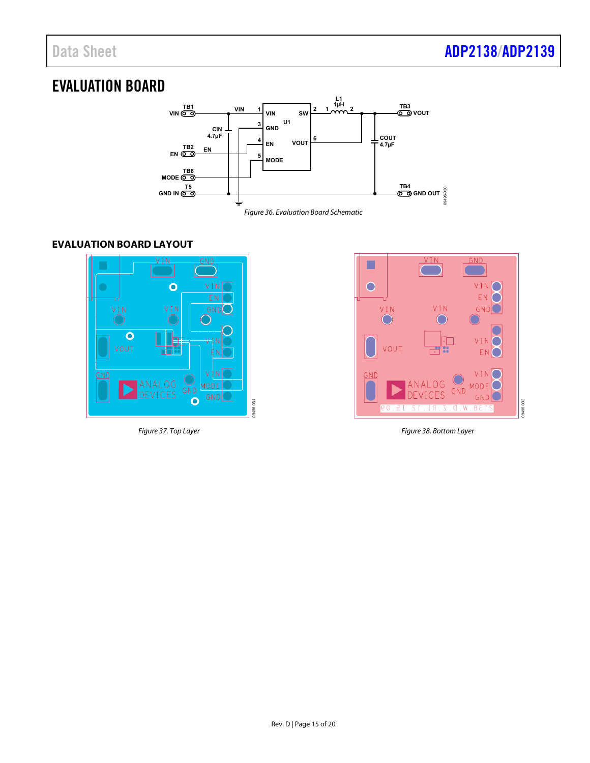### <span id="page-14-0"></span>EVALUATION BOARD



#### <span id="page-14-1"></span>**EVALUATION BOARD LAYOUT**



Figure 37. Top Layer



Figure 38. Bottom Layer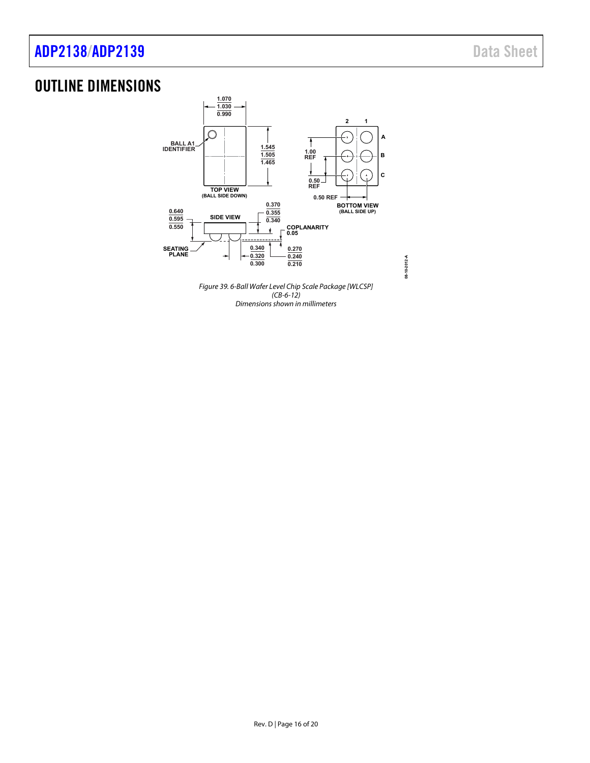### [ADP2138/](https://www.analog.com/ADP2138?doc=ADP2138_2139.pdf)[ADP2139](https://www.analog.com/ADP2139?doc=ADP2138_2139.pdf) Data Sheet

### <span id="page-15-0"></span>OUTLINE DIMENSIONS



**08-10-2012-A**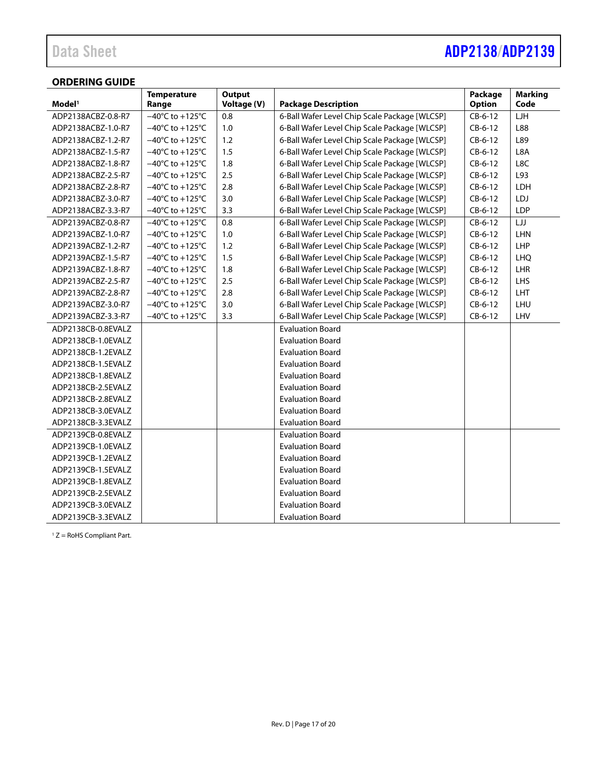### Data Sheet **[ADP2138/](https://www.analog.com/ADP2138?doc=ADP2138_2139.pdf)[ADP2139](https://www.analog.com/ADP2139?doc=ADP2138_2139.pdf)**

#### <span id="page-16-0"></span>**ORDERING GUIDE**

|                    | <b>Temperature</b>                   | Output      |                                               | Package       | <b>Marking</b> |
|--------------------|--------------------------------------|-------------|-----------------------------------------------|---------------|----------------|
| Model <sup>1</sup> | Range                                | Voltage (V) | <b>Package Description</b>                    | <b>Option</b> | Code           |
| ADP2138ACBZ-0.8-R7 | $-40^{\circ}$ C to +125 $^{\circ}$ C | 0.8         | 6-Ball Wafer Level Chip Scale Package [WLCSP] | $CB-6-12$     | LJH            |
| ADP2138ACBZ-1.0-R7 | $-40^{\circ}$ C to +125 $^{\circ}$ C | 1.0         | 6-Ball Wafer Level Chip Scale Package [WLCSP] | $CB-6-12$     | L88            |
| ADP2138ACBZ-1.2-R7 | $-40^{\circ}$ C to +125 $^{\circ}$ C | 1.2         | 6-Ball Wafer Level Chip Scale Package [WLCSP] | $CB-6-12$     | L89            |
| ADP2138ACBZ-1.5-R7 | $-40^{\circ}$ C to +125 $^{\circ}$ C | 1.5         | 6-Ball Wafer Level Chip Scale Package [WLCSP] | $CB-6-12$     | L8A            |
| ADP2138ACBZ-1.8-R7 | $-40^{\circ}$ C to +125 $^{\circ}$ C | 1.8         | 6-Ball Wafer Level Chip Scale Package [WLCSP] | $CB-6-12$     | L8C            |
| ADP2138ACBZ-2.5-R7 | $-40^{\circ}$ C to $+125^{\circ}$ C  | 2.5         | 6-Ball Wafer Level Chip Scale Package [WLCSP] | $CB-6-12$     | L93            |
| ADP2138ACBZ-2.8-R7 | $-40^{\circ}$ C to +125 $^{\circ}$ C | 2.8         | 6-Ball Wafer Level Chip Scale Package [WLCSP] | $CB-6-12$     | LDH            |
| ADP2138ACBZ-3.0-R7 | $-40^{\circ}$ C to +125 $^{\circ}$ C | 3.0         | 6-Ball Wafer Level Chip Scale Package [WLCSP] | $CB-6-12$     | LDJ            |
| ADP2138ACBZ-3.3-R7 | $-40^{\circ}$ C to +125 $^{\circ}$ C | 3.3         | 6-Ball Wafer Level Chip Scale Package [WLCSP] | CB-6-12       | LDP            |
| ADP2139ACBZ-0.8-R7 | $-40^{\circ}$ C to +125 $^{\circ}$ C | 0.8         | 6-Ball Wafer Level Chip Scale Package [WLCSP] | $CB-6-12$     | LJJ            |
| ADP2139ACBZ-1.0-R7 | $-40^{\circ}$ C to +125 $^{\circ}$ C | 1.0         | 6-Ball Wafer Level Chip Scale Package [WLCSP] | $CB-6-12$     | LHN            |
| ADP2139ACBZ-1.2-R7 | $-40^{\circ}$ C to $+125^{\circ}$ C  | 1.2         | 6-Ball Wafer Level Chip Scale Package [WLCSP] | $CB-6-12$     | LHP            |
| ADP2139ACBZ-1.5-R7 | $-40^{\circ}$ C to +125 $^{\circ}$ C | 1.5         | 6-Ball Wafer Level Chip Scale Package [WLCSP] | $CB-6-12$     | <b>LHQ</b>     |
| ADP2139ACBZ-1.8-R7 | $-40^{\circ}$ C to +125 $^{\circ}$ C | 1.8         | 6-Ball Wafer Level Chip Scale Package [WLCSP] | $CB-6-12$     | LHR            |
| ADP2139ACBZ-2.5-R7 | $-40^{\circ}$ C to +125 $^{\circ}$ C | 2.5         | 6-Ball Wafer Level Chip Scale Package [WLCSP] | $CB-6-12$     | LHS            |
| ADP2139ACBZ-2.8-R7 | $-40^{\circ}$ C to $+125^{\circ}$ C  | 2.8         | 6-Ball Wafer Level Chip Scale Package [WLCSP] | $CB-6-12$     | LHT            |
| ADP2139ACBZ-3.0-R7 | $-40^{\circ}$ C to +125 $^{\circ}$ C | 3.0         | 6-Ball Wafer Level Chip Scale Package [WLCSP] | $CB-6-12$     | LHU            |
| ADP2139ACBZ-3.3-R7 | $-40^{\circ}$ C to +125 $^{\circ}$ C | 3.3         | 6-Ball Wafer Level Chip Scale Package [WLCSP] | CB-6-12       | LHV            |
| ADP2138CB-0.8EVALZ |                                      |             | <b>Evaluation Board</b>                       |               |                |
| ADP2138CB-1.0EVALZ |                                      |             | <b>Evaluation Board</b>                       |               |                |
| ADP2138CB-1.2EVALZ |                                      |             | <b>Evaluation Board</b>                       |               |                |
| ADP2138CB-1.5EVALZ |                                      |             | <b>Evaluation Board</b>                       |               |                |
| ADP2138CB-1.8EVALZ |                                      |             | <b>Evaluation Board</b>                       |               |                |
| ADP2138CB-2.5EVALZ |                                      |             | <b>Evaluation Board</b>                       |               |                |
| ADP2138CB-2.8EVALZ |                                      |             | <b>Evaluation Board</b>                       |               |                |
| ADP2138CB-3.0EVALZ |                                      |             | <b>Evaluation Board</b>                       |               |                |
| ADP2138CB-3.3EVALZ |                                      |             | <b>Evaluation Board</b>                       |               |                |
| ADP2139CB-0.8EVALZ |                                      |             | <b>Evaluation Board</b>                       |               |                |
| ADP2139CB-1.0EVALZ |                                      |             | <b>Evaluation Board</b>                       |               |                |
| ADP2139CB-1.2EVALZ |                                      |             | <b>Evaluation Board</b>                       |               |                |
| ADP2139CB-1.5EVALZ |                                      |             | <b>Evaluation Board</b>                       |               |                |
| ADP2139CB-1.8EVALZ |                                      |             | <b>Evaluation Board</b>                       |               |                |
| ADP2139CB-2.5EVALZ |                                      |             | <b>Evaluation Board</b>                       |               |                |
| ADP2139CB-3.0EVALZ |                                      |             | <b>Evaluation Board</b>                       |               |                |
| ADP2139CB-3.3EVALZ |                                      |             | <b>Evaluation Board</b>                       |               |                |

1 Z = RoHS Compliant Part.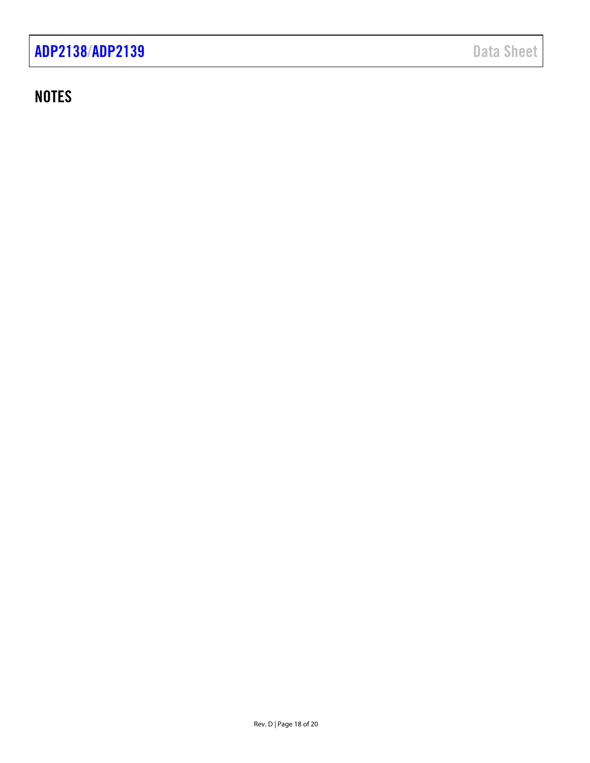### **NOTES**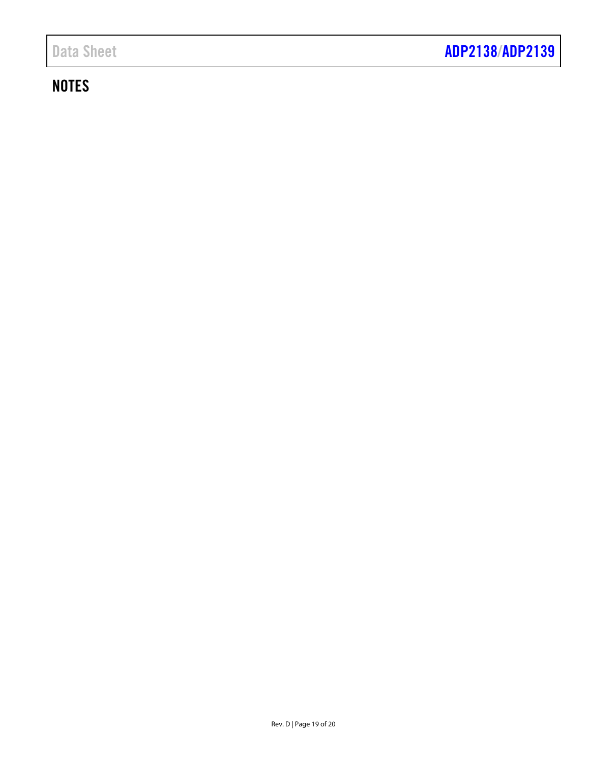### **NOTES**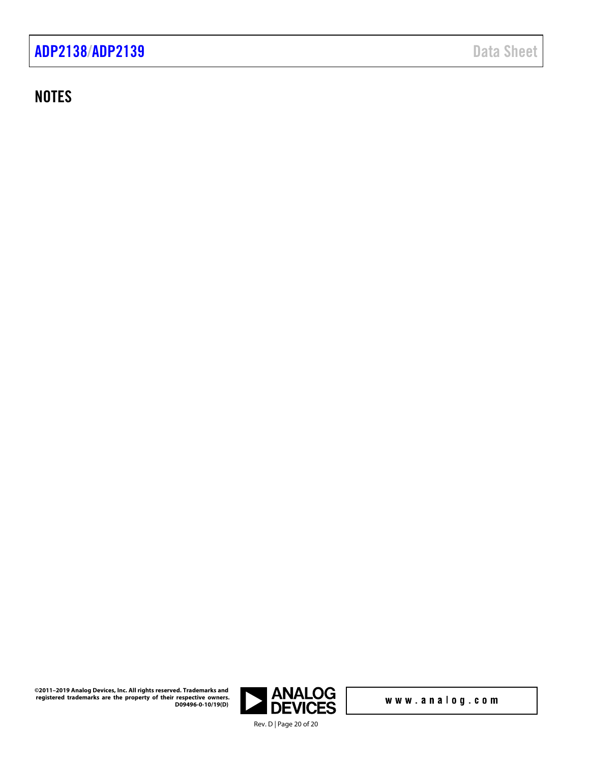### **NOTES**

**ANALOG<br>DEVICES** Rev. D | Page 20 of 20

www.analog.com

**©2011–2019 Analog Devices, Inc. All rights reserved. Trademarks and registered trademarks are the property of their respective owners. D09496-0-10/19(D)**